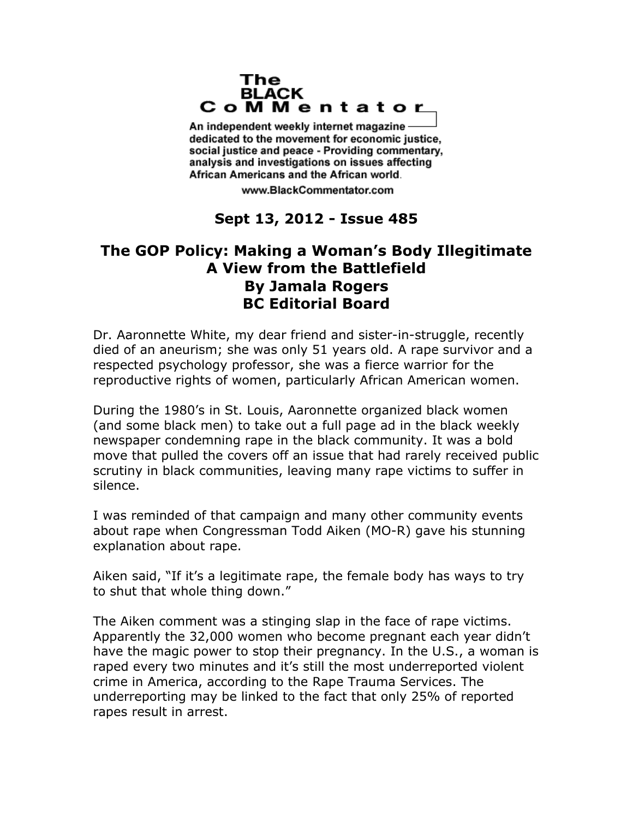## The **BLACK** CoMMentator

An independent weekly internet magazine dedicated to the movement for economic justice. social justice and peace - Providing commentary, analysis and investigations on issues affecting African Americans and the African world.

www.BlackCommentator.com

## **Sept 13, 2012 - Issue 485**

## **The GOP Policy: Making a Woman's Body Illegitimate A View from the Battlefield By Jamala Rogers BC Editorial Board**

Dr. Aaronnette White, my dear friend and sister-in-struggle, recently died of an aneurism; she was only 51 years old. A rape survivor and a respected psychology professor, she was a fierce warrior for the reproductive rights of women, particularly African American women.

During the 1980's in St. Louis, Aaronnette organized black women (and some black men) to take out a full page ad in the black weekly newspaper condemning rape in the black community. It was a bold move that pulled the covers off an issue that had rarely received public scrutiny in black communities, leaving many rape victims to suffer in silence.

I was reminded of that campaign and many other community events about rape when Congressman Todd Aiken (MO-R) gave his stunning explanation about rape.

Aiken said, "If it's a legitimate rape, the female body has ways to try to shut that whole thing down."

The Aiken comment was a stinging slap in the face of rape victims. Apparently the 32,000 women who become pregnant each year didn't have the magic power to stop their pregnancy. In the U.S., a woman is raped every two minutes and it's still the most underreported violent crime in America, according to the Rape Trauma Services. The underreporting may be linked to the fact that only 25% of reported rapes result in arrest.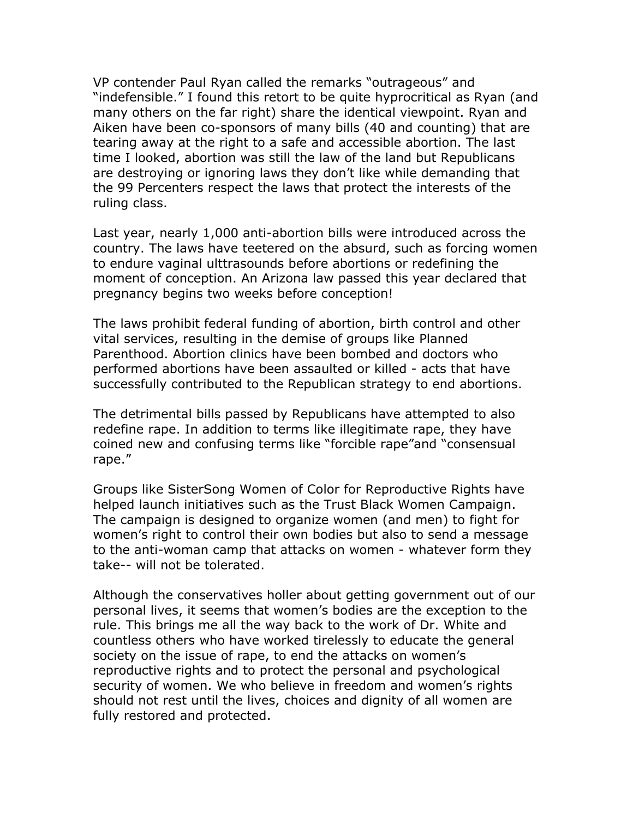VP contender Paul Ryan called the remarks "outrageous" and "indefensible." I found this retort to be quite hyprocritical as Ryan (and many others on the far right) share the identical viewpoint. Ryan and Aiken have been co-sponsors of many bills (40 and counting) that are tearing away at the right to a safe and accessible abortion. The last time I looked, abortion was still the law of the land but Republicans are destroying or ignoring laws they don't like while demanding that the 99 Percenters respect the laws that protect the interests of the ruling class.

Last year, nearly 1,000 anti-abortion bills were introduced across the country. The laws have teetered on the absurd, such as forcing women to endure vaginal ulttrasounds before abortions or redefining the moment of conception. An Arizona law passed this year declared that pregnancy begins two weeks before conception!

The laws prohibit federal funding of abortion, birth control and other vital services, resulting in the demise of groups like Planned Parenthood. Abortion clinics have been bombed and doctors who performed abortions have been assaulted or killed - acts that have successfully contributed to the Republican strategy to end abortions.

The detrimental bills passed by Republicans have attempted to also redefine rape. In addition to terms like illegitimate rape, they have coined new and confusing terms like "forcible rape"and "consensual rape."

Groups like SisterSong Women of Color for Reproductive Rights have helped launch initiatives such as the Trust Black Women Campaign. The campaign is designed to organize women (and men) to fight for women's right to control their own bodies but also to send a message to the anti-woman camp that attacks on women - whatever form they take-- will not be tolerated.

Although the conservatives holler about getting government out of our personal lives, it seems that women's bodies are the exception to the rule. This brings me all the way back to the work of Dr. White and countless others who have worked tirelessly to educate the general society on the issue of rape, to end the attacks on women's reproductive rights and to protect the personal and psychological security of women. We who believe in freedom and women's rights should not rest until the lives, choices and dignity of all women are fully restored and protected.